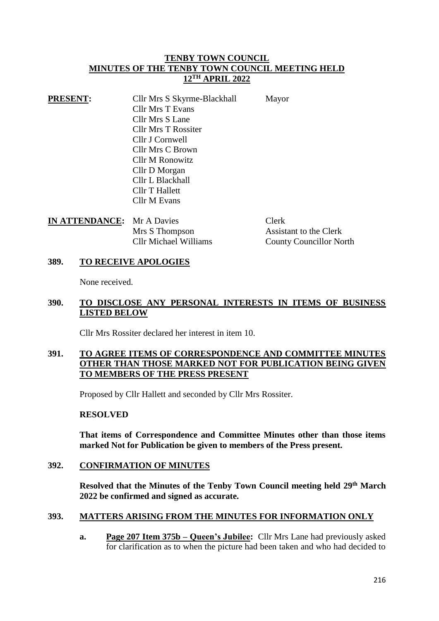### **TENBY TOWN COUNCIL MINUTES OF THE TENBY TOWN COUNCIL MEETING HELD 12TH APRIL 2022**

| <b>PRESENT:</b> | Cllr Mrs S Skyrme-Blackhall | Mayor |
|-----------------|-----------------------------|-------|
|                 | <b>Cllr Mrs T Evans</b>     |       |
|                 | Cllr Mrs S Lane             |       |
|                 | <b>Cllr Mrs T Rossiter</b>  |       |
|                 | Cllr J Cornwell             |       |
|                 | Cllr Mrs C Brown            |       |
|                 | <b>Cllr M Ronowitz</b>      |       |
|                 | Cllr D Morgan               |       |
|                 | Cllr L Blackhall            |       |
|                 | Cllr T Hallett              |       |
|                 | Cllr M Evans                |       |

| <b>IN ATTENDANCE:</b> Mr A Davies |                              | <b>Clerk</b>                   |
|-----------------------------------|------------------------------|--------------------------------|
|                                   | Mrs S Thompson               | Assistant to the Clerk         |
|                                   | <b>Cllr Michael Williams</b> | <b>County Councillor North</b> |

### **389. TO RECEIVE APOLOGIES**

None received.

#### **390. TO DISCLOSE ANY PERSONAL INTERESTS IN ITEMS OF BUSINESS LISTED BELOW**

Cllr Mrs Rossiter declared her interest in item 10.

#### **391. TO AGREE ITEMS OF CORRESPONDENCE AND COMMITTEE MINUTES OTHER THAN THOSE MARKED NOT FOR PUBLICATION BEING GIVEN TO MEMBERS OF THE PRESS PRESENT**

Proposed by Cllr Hallett and seconded by Cllr Mrs Rossiter.

#### **RESOLVED**

**That items of Correspondence and Committee Minutes other than those items marked Not for Publication be given to members of the Press present.**

# **392. CONFIRMATION OF MINUTES**

**Resolved that the Minutes of the Tenby Town Council meeting held 29th March 2022 be confirmed and signed as accurate.**

#### **393. MATTERS ARISING FROM THE MINUTES FOR INFORMATION ONLY**

**a. Page 207 Item 375b – Queen's Jubilee:** Cllr Mrs Lane had previously asked for clarification as to when the picture had been taken and who had decided to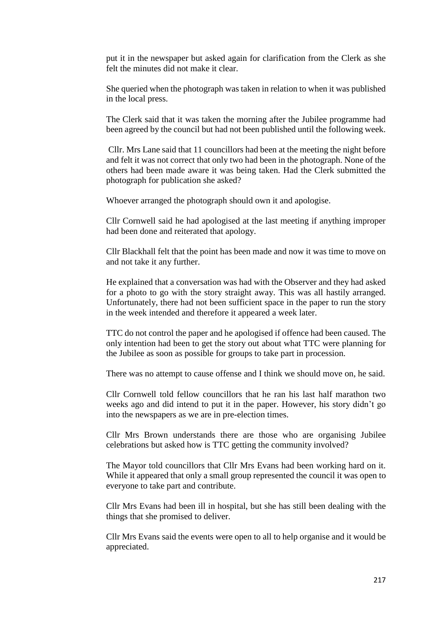put it in the newspaper but asked again for clarification from the Clerk as she felt the minutes did not make it clear.

She queried when the photograph was taken in relation to when it was published in the local press.

The Clerk said that it was taken the morning after the Jubilee programme had been agreed by the council but had not been published until the following week.

Cllr. Mrs Lane said that 11 councillors had been at the meeting the night before and felt it was not correct that only two had been in the photograph. None of the others had been made aware it was being taken. Had the Clerk submitted the photograph for publication she asked?

Whoever arranged the photograph should own it and apologise.

Cllr Cornwell said he had apologised at the last meeting if anything improper had been done and reiterated that apology.

Cllr Blackhall felt that the point has been made and now it was time to move on and not take it any further.

He explained that a conversation was had with the Observer and they had asked for a photo to go with the story straight away. This was all hastily arranged. Unfortunately, there had not been sufficient space in the paper to run the story in the week intended and therefore it appeared a week later.

TTC do not control the paper and he apologised if offence had been caused. The only intention had been to get the story out about what TTC were planning for the Jubilee as soon as possible for groups to take part in procession.

There was no attempt to cause offense and I think we should move on, he said.

Cllr Cornwell told fellow councillors that he ran his last half marathon two weeks ago and did intend to put it in the paper. However, his story didn't go into the newspapers as we are in pre-election times.

Cllr Mrs Brown understands there are those who are organising Jubilee celebrations but asked how is TTC getting the community involved?

The Mayor told councillors that Cllr Mrs Evans had been working hard on it. While it appeared that only a small group represented the council it was open to everyone to take part and contribute.

Cllr Mrs Evans had been ill in hospital, but she has still been dealing with the things that she promised to deliver.

Cllr Mrs Evans said the events were open to all to help organise and it would be appreciated.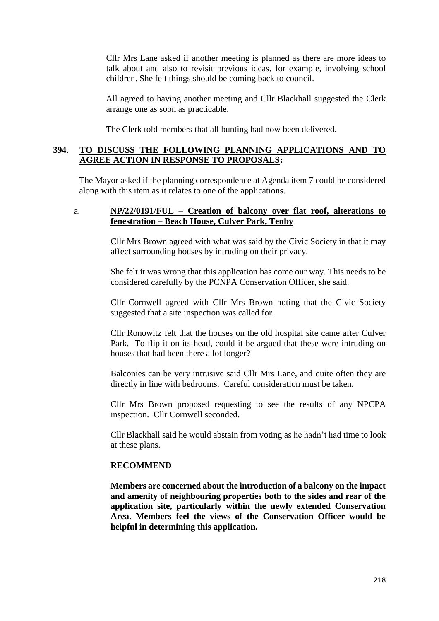Cllr Mrs Lane asked if another meeting is planned as there are more ideas to talk about and also to revisit previous ideas, for example, involving school children. She felt things should be coming back to council.

All agreed to having another meeting and Cllr Blackhall suggested the Clerk arrange one as soon as practicable.

The Clerk told members that all bunting had now been delivered.

# **394. TO DISCUSS THE FOLLOWING PLANNING APPLICATIONS AND TO AGREE ACTION IN RESPONSE TO PROPOSALS:**

The Mayor asked if the planning correspondence at Agenda item 7 could be considered along with this item as it relates to one of the applications.

#### a. **NP/22/0191/FUL – Creation of balcony over flat roof, alterations to fenestration – Beach House, Culver Park, Tenby**

Cllr Mrs Brown agreed with what was said by the Civic Society in that it may affect surrounding houses by intruding on their privacy.

She felt it was wrong that this application has come our way. This needs to be considered carefully by the PCNPA Conservation Officer, she said.

Cllr Cornwell agreed with Cllr Mrs Brown noting that the Civic Society suggested that a site inspection was called for.

Cllr Ronowitz felt that the houses on the old hospital site came after Culver Park. To flip it on its head, could it be argued that these were intruding on houses that had been there a lot longer?

Balconies can be very intrusive said Cllr Mrs Lane, and quite often they are directly in line with bedrooms. Careful consideration must be taken.

Cllr Mrs Brown proposed requesting to see the results of any NPCPA inspection. Cllr Cornwell seconded.

Cllr Blackhall said he would abstain from voting as he hadn't had time to look at these plans.

#### **RECOMMEND**

**Members are concerned about the introduction of a balcony on the impact and amenity of neighbouring properties both to the sides and rear of the application site, particularly within the newly extended Conservation Area. Members feel the views of the Conservation Officer would be helpful in determining this application.**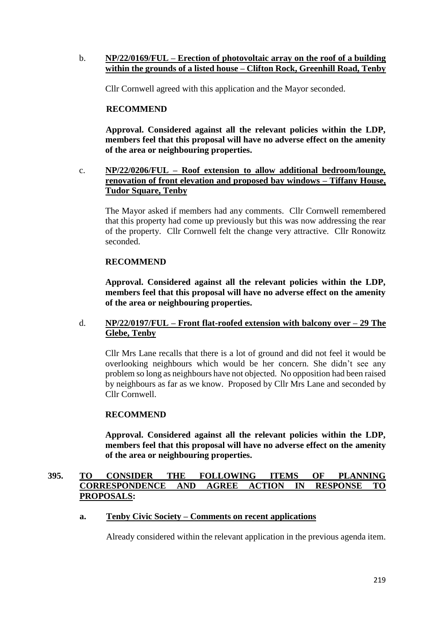#### b. **NP/22/0169/FUL – Erection of photovoltaic array on the roof of a building within the grounds of a listed house – Clifton Rock, Greenhill Road, Tenby**

Cllr Cornwell agreed with this application and the Mayor seconded.

# **RECOMMEND**

**Approval. Considered against all the relevant policies within the LDP, members feel that this proposal will have no adverse effect on the amenity of the area or neighbouring properties.**

# c. **NP/22/0206/FUL – Roof extension to allow additional bedroom/lounge, renovation of front elevation and proposed bay windows – Tiffany House, Tudor Square, Tenby**

The Mayor asked if members had any comments. Cllr Cornwell remembered that this property had come up previously but this was now addressing the rear of the property. Cllr Cornwell felt the change very attractive. Cllr Ronowitz seconded.

# **RECOMMEND**

**Approval. Considered against all the relevant policies within the LDP, members feel that this proposal will have no adverse effect on the amenity of the area or neighbouring properties.**

# d. **NP/22/0197/FUL – Front flat-roofed extension with balcony over – 29 The Glebe, Tenby**

Cllr Mrs Lane recalls that there is a lot of ground and did not feel it would be overlooking neighbours which would be her concern. She didn't see any problem so long as neighbours have not objected. No opposition had been raised by neighbours as far as we know. Proposed by Cllr Mrs Lane and seconded by Cllr Cornwell.

#### **RECOMMEND**

**Approval. Considered against all the relevant policies within the LDP, members feel that this proposal will have no adverse effect on the amenity of the area or neighbouring properties.**

# **395. TO CONSIDER THE FOLLOWING ITEMS OF PLANNING CORRESPONDENCE AND AGREE ACTION IN RESPONSE TO PROPOSALS:**

# **a. Tenby Civic Society – Comments on recent applications**

Already considered within the relevant application in the previous agenda item.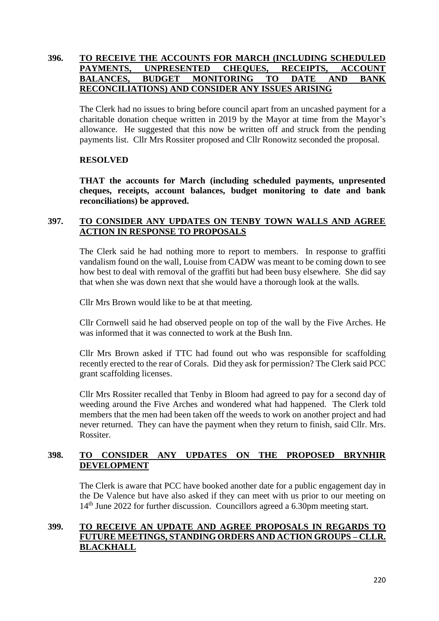# **396. TO RECEIVE THE ACCOUNTS FOR MARCH (INCLUDING SCHEDULED PAYMENTS, UNPRESENTED CHEQUES, RECEIPTS, ACCOUNT BALANCES, BUDGET MONITORING TO DATE AND BANK RECONCILIATIONS) AND CONSIDER ANY ISSUES ARISING**

The Clerk had no issues to bring before council apart from an uncashed payment for a charitable donation cheque written in 2019 by the Mayor at time from the Mayor's allowance. He suggested that this now be written off and struck from the pending payments list. Cllr Mrs Rossiter proposed and Cllr Ronowitz seconded the proposal.

### **RESOLVED**

**THAT the accounts for March (including scheduled payments, unpresented cheques, receipts, account balances, budget monitoring to date and bank reconciliations) be approved.**

# **397. TO CONSIDER ANY UPDATES ON TENBY TOWN WALLS AND AGREE ACTION IN RESPONSE TO PROPOSALS**

The Clerk said he had nothing more to report to members. In response to graffiti vandalism found on the wall, Louise from CADW was meant to be coming down to see how best to deal with removal of the graffiti but had been busy elsewhere. She did say that when she was down next that she would have a thorough look at the walls.

Cllr Mrs Brown would like to be at that meeting.

Cllr Cornwell said he had observed people on top of the wall by the Five Arches. He was informed that it was connected to work at the Bush Inn.

Cllr Mrs Brown asked if TTC had found out who was responsible for scaffolding recently erected to the rear of Corals. Did they ask for permission? The Clerk said PCC grant scaffolding licenses.

Cllr Mrs Rossiter recalled that Tenby in Bloom had agreed to pay for a second day of weeding around the Five Arches and wondered what had happened. The Clerk told members that the men had been taken off the weeds to work on another project and had never returned. They can have the payment when they return to finish, said Cllr. Mrs. Rossiter.

# **398. TO CONSIDER ANY UPDATES ON THE PROPOSED BRYNHIR DEVELOPMENT**

The Clerk is aware that PCC have booked another date for a public engagement day in the De Valence but have also asked if they can meet with us prior to our meeting on 14<sup>th</sup> June 2022 for further discussion. Councillors agreed a 6.30pm meeting start.

### **399. TO RECEIVE AN UPDATE AND AGREE PROPOSALS IN REGARDS TO FUTURE MEETINGS, STANDING ORDERS AND ACTION GROUPS – CLLR. BLACKHALL**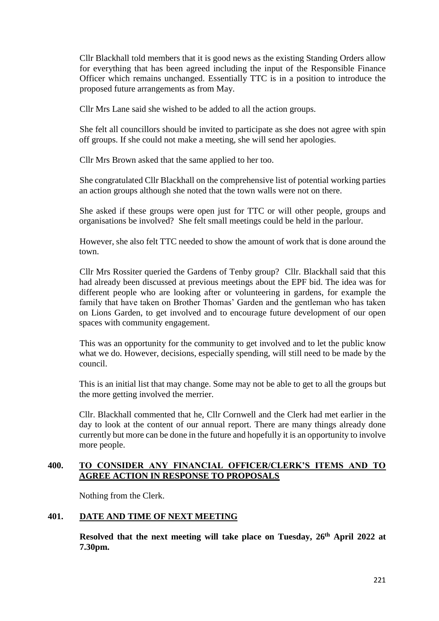Cllr Blackhall told members that it is good news as the existing Standing Orders allow for everything that has been agreed including the input of the Responsible Finance Officer which remains unchanged. Essentially TTC is in a position to introduce the proposed future arrangements as from May.

Cllr Mrs Lane said she wished to be added to all the action groups.

She felt all councillors should be invited to participate as she does not agree with spin off groups. If she could not make a meeting, she will send her apologies.

Cllr Mrs Brown asked that the same applied to her too.

She congratulated Cllr Blackhall on the comprehensive list of potential working parties an action groups although she noted that the town walls were not on there.

She asked if these groups were open just for TTC or will other people, groups and organisations be involved? She felt small meetings could be held in the parlour.

However, she also felt TTC needed to show the amount of work that is done around the town.

Cllr Mrs Rossiter queried the Gardens of Tenby group? Cllr. Blackhall said that this had already been discussed at previous meetings about the EPF bid. The idea was for different people who are looking after or volunteering in gardens, for example the family that have taken on Brother Thomas' Garden and the gentleman who has taken on Lions Garden, to get involved and to encourage future development of our open spaces with community engagement.

This was an opportunity for the community to get involved and to let the public know what we do. However, decisions, especially spending, will still need to be made by the council.

This is an initial list that may change. Some may not be able to get to all the groups but the more getting involved the merrier.

Cllr. Blackhall commented that he, Cllr Cornwell and the Clerk had met earlier in the day to look at the content of our annual report. There are many things already done currently but more can be done in the future and hopefully it is an opportunity to involve more people.

### **400. TO CONSIDER ANY FINANCIAL OFFICER/CLERK'S ITEMS AND TO AGREE ACTION IN RESPONSE TO PROPOSALS**

Nothing from the Clerk.

# **401. DATE AND TIME OF NEXT MEETING**

**Resolved that the next meeting will take place on Tuesday, 26th April 2022 at 7.30pm.**